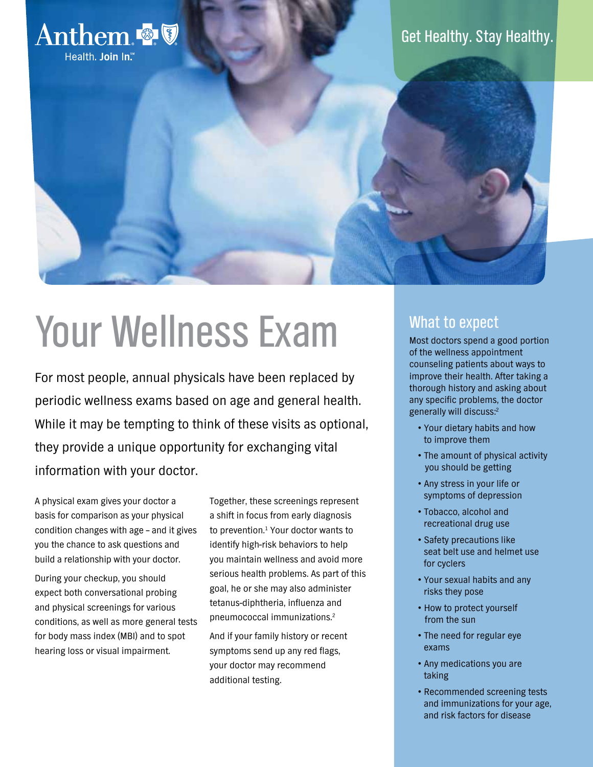

# Your Wellness Exam

For most people, annual physicals have been replaced by periodic wellness exams based on age and general health. While it may be tempting to think of these visits as optional, they provide a unique opportunity for exchanging vital information with your doctor.

A physical exam gives your doctor a basis for comparison as your physical condition changes with age – and it gives you the chance to ask questions and build a relationship with your doctor.

During your checkup, you should expect both conversational probing and physical screenings for various conditions, as well as more general tests for body mass index (MBI) and to spot hearing loss or visual impairment.

Together, these screenings represent a shift in focus from early diagnosis to prevention.<sup>1</sup> Your doctor wants to identify high-risk behaviors to help you maintain wellness and avoid more serious health problems. As part of this goal, he or she may also administer tetanus-diphtheria, influenza and pneumococcal immunizations.2

And if your family history or recent symptoms send up any red flags, your doctor may recommend additional testing.

# What to expect

Most doctors spend a good portion of the wellness appointment counseling patients about ways to improve their health. After taking a thorough history and asking about any specific problems, the doctor generally will discuss:2

- Your dietary habits and how to improve them
- The amount of physical activity you should be getting
- Any stress in your life or symptoms of depression
- Tobacco, alcohol and recreational drug use
- Safety precautions like seat belt use and helmet use for cyclers
- Your sexual habits and any risks they pose
- How to protect yourself from the sun
- The need for regular eye exams
- Any medications you are taking
- Recommended screening tests and immunizations for your age, and risk factors for disease